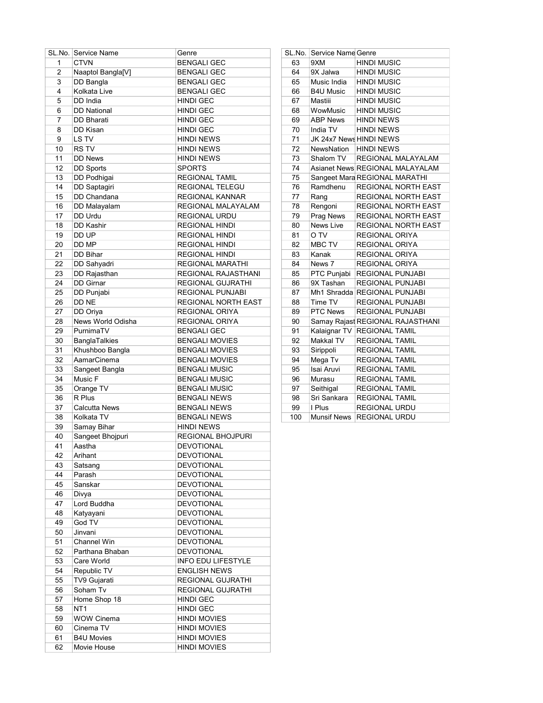|                | SL.No. Service Name | Genre                     |     | SL.No. Service Name Genre |                                  |
|----------------|---------------------|---------------------------|-----|---------------------------|----------------------------------|
| $\mathbf{1}$   | <b>CTVN</b>         | <b>BENGALI GEC</b>        | 63  | 9XM                       | <b>HINDI MUSIC</b>               |
| $\overline{2}$ | Naaptol Bangla[V]   | <b>BENGALI GEC</b>        | 64  | 9X Jalwa                  | <b>HINDI MUSIC</b>               |
| 3              | DD Bangla           | <b>BENGALI GEC</b>        | 65  | Music India               | <b>HINDI MUSIC</b>               |
| 4              | Kolkata Live        | <b>BENGALI GEC</b>        | 66  | <b>B4U Music</b>          | <b>HINDI MUSIC</b>               |
| 5              | DD India            | <b>HINDI GEC</b>          | 67  | Mastiii                   | <b>HINDI MUSIC</b>               |
| 6              | <b>DD National</b>  | <b>HINDI GEC</b>          | 68  | WowMusic                  | <b>HINDI MUSIC</b>               |
| 7              | DD Bharati          | <b>HINDI GEC</b>          | 69  | <b>ABP News</b>           | <b>HINDI NEWS</b>                |
| 8              | DD Kisan            | <b>HINDI GEC</b>          | 70  | India TV                  | <b>HINDI NEWS</b>                |
| 9              | LS TV               | <b>HINDI NEWS</b>         | 71  |                           | JK 24x7 News HINDI NEWS          |
| 10             | <b>RSTV</b>         | HINDI NEWS                | 72  |                           | NewsNation   HINDI NEWS          |
| 11             | <b>DD News</b>      | <b>HINDI NEWS</b>         | 73  | Shalom TV                 | REGIONAL MALAYALAM               |
| 12             | <b>DD Sports</b>    | <b>SPORTS</b>             | 74  |                           | Asianet News REGIONAL MALAYALAM  |
| 13             | DD Podhigai         | <b>REGIONAL TAMIL</b>     | 75  |                           | Sangeet Mara REGIONAL MARATHI    |
| 14             | DD Saptagiri        | REGIONAL TELEGU           | 76  | Ramdhenu                  | REGIONAL NORTH EAST              |
| 15             | DD Chandana         | REGIONAL KANNAR           | 77  | Rang                      | REGIONAL NORTH EAST              |
| 16             | DD Malayalam        | REGIONAL MALAYALAM        | 78  | Rengoni                   | REGIONAL NORTH EAST              |
| 17             | DD Urdu             | REGIONAL URDU             | 79  | Prag News                 | REGIONAL NORTH EAST              |
| 18             | DD Kashir           | <b>REGIONAL HINDI</b>     | 80  | News Live                 | REGIONAL NORTH EAST              |
| 19             | DD UP               |                           | 81  | O TV                      |                                  |
|                |                     | <b>REGIONAL HINDI</b>     |     |                           | REGIONAL ORIYA                   |
| 20             | DD MP               | <b>REGIONAL HINDI</b>     | 82  | MBC TV                    | REGIONAL ORIYA                   |
| 21             | DD Bihar            | <b>REGIONAL HINDI</b>     | 83  | Kanak                     | REGIONAL ORIYA                   |
| 22             | DD Sahyadri         | <b>REGIONAL MARATHI</b>   | 84  | News 7                    | REGIONAL ORIYA                   |
| 23             | DD Rajasthan        | REGIONAL RAJASTHANI       | 85  |                           | PTC Punjabi REGIONAL PUNJABI     |
| 24             | <b>DD Girnar</b>    | REGIONAL GUJRATHI         | 86  | 9X Tashan                 | REGIONAL PUNJABI                 |
| 25             | DD Punjabi          | REGIONAL PUNJABI          | 87  |                           | Mh1 Shradda REGIONAL PUNJABI     |
| 26             | DD NE               | REGIONAL NORTH EAST       | 88  | Time TV                   | REGIONAL PUNJABI                 |
| 27             | DD Oriya            | REGIONAL ORIYA            | 89  | PTC News                  | REGIONAL PUNJABI                 |
| 28             | News World Odisha   | REGIONAL ORIYA            | 90  |                           | Samay Rajast REGIONAL RAJASTHANI |
| 29             | PurnimaTV           | <b>BENGALI GEC</b>        | 91  |                           | Kalaignar TV REGIONAL TAMIL      |
| 30             | BanglaTalkies       | <b>BENGALI MOVIES</b>     | 92  | Makkal TV                 | <b>REGIONAL TAMIL</b>            |
| 31             | Khushboo Bangla     | <b>BENGALI MOVIES</b>     | 93  | Sirippoli                 | <b>REGIONAL TAMIL</b>            |
| 32             | AamarCinema         | <b>BENGALI MOVIES</b>     | 94  | Mega Tv                   | <b>REGIONAL TAMIL</b>            |
| 33             | Sangeet Bangla      | <b>BENGALI MUSIC</b>      | 95  | Isai Aruvi                | <b>REGIONAL TAMIL</b>            |
| 34             | Music F             | <b>BENGALI MUSIC</b>      | 96  | Murasu                    | <b>REGIONAL TAMIL</b>            |
| 35             | Orange TV           | <b>BENGALI MUSIC</b>      | 97  | Seithigal                 | <b>REGIONAL TAMIL</b>            |
| 36             | R Plus              | <b>BENGALI NEWS</b>       | 98  | Sri Sankara               | <b>REGIONAL TAMIL</b>            |
| 37             | Calcutta News       | <b>BENGALI NEWS</b>       | 99  | I Plus                    | REGIONAL URDU                    |
| 38             | Kolkata TV          | <b>BENGALI NEWS</b>       | 100 |                           | Munsif News REGIONAL URDU        |
| 39             | Samay Bihar         | <b>HINDI NEWS</b>         |     |                           |                                  |
| 40             | Sangeet Bhojpuri    | <b>REGIONAL BHOJPURI</b>  |     |                           |                                  |
| 41             | Aastha              | <b>DEVOTIONAL</b>         |     |                           |                                  |
| 42             | Arihant             | <b>DEVOTIONAL</b>         |     |                           |                                  |
| 43             | Satsang             | <b>DEVOTIONAL</b>         |     |                           |                                  |
| 44             | Parash              | <b>DEVOTIONAL</b>         |     |                           |                                  |
| 45             | Sanskar             | <b>DEVOTIONAL</b>         |     |                           |                                  |
| 46             | Divya               | <b>DEVOTIONAL</b>         |     |                           |                                  |
| 47             | Lord Buddha         | DEVOTIONAL                |     |                           |                                  |
| 48             | Katyayani           | <b>DEVOTIONAL</b>         |     |                           |                                  |
| 49             | God TV              | <b>DEVOTIONAL</b>         |     |                           |                                  |
| 50             | Jinvani             | <b>DEVOTIONAL</b>         |     |                           |                                  |
| 51             | Channel Win         | <b>DEVOTIONAL</b>         |     |                           |                                  |
| 52             | Parthana Bhaban     | <b>DEVOTIONAL</b>         |     |                           |                                  |
| 53             | Care World          | <b>INFO EDU LIFESTYLE</b> |     |                           |                                  |
| 54             | Republic TV         | <b>ENGLISH NEWS</b>       |     |                           |                                  |
| 55             | TV9 Gujarati        | REGIONAL GUJRATHI         |     |                           |                                  |
| 56             | Soham Tv            | REGIONAL GUJRATHI         |     |                           |                                  |
| 57             | Home Shop 18        | <b>HINDI GEC</b>          |     |                           |                                  |
| 58             | NT <sub>1</sub>     | HINDI GEC                 |     |                           |                                  |
| 59             | WOW Cinema          | <b>HINDI MOVIES</b>       |     |                           |                                  |
| 60             | Cinema TV           | HINDI MOVIES              |     |                           |                                  |
| 61             | <b>B4U Movies</b>   | <b>HINDI MOVIES</b>       |     |                           |                                  |
| 62             | Movie House         | HINDI MOVIES              |     |                           |                                  |
|                |                     |                           |     |                           |                                  |

| SL.No. | <b>Service Name Genre</b> |                                  |
|--------|---------------------------|----------------------------------|
| 63     | 9XM                       | <b>HINDI MUSIC</b>               |
| 64     | 9X Jalwa                  | <b>HINDI MUSIC</b>               |
| 65     | Music India               | <b>HINDI MUSIC</b>               |
| 66     | <b>B4U Music</b>          | HINDI MUSIC                      |
| 67     | Mastiii                   | <b>HINDI MUSIC</b>               |
| 68     | WowMusic                  | <b>HINDI MUSIC</b>               |
| 69     | <b>ABP News</b>           | <b>HINDI NEWS</b>                |
| 70     | India TV                  | <b>HINDI NEWS</b>                |
| 71     | JK 24x7 News HINDI NEWS   |                                  |
| 72     | <b>NewsNation</b>         | <b>HINDI NEWS</b>                |
| 73     | Shalom TV                 | <b>REGIONAL MALAYALAM</b>        |
| 74     |                           | Asianet News REGIONAL MALAYALAM  |
| 75     |                           | Sangeet Mara REGIONAL MARATHI    |
| 76     | Ramdhenu                  | <b>REGIONAL NORTH EAST</b>       |
| 77     | Rang                      | <b>REGIONAL NORTH EAST</b>       |
| 78     | Rengoni                   | REGIONAL NORTH EAST              |
| 79     | Prag News                 | <b>REGIONAL NORTH EAST</b>       |
| 80     | <b>News Live</b>          | <b>REGIONAL NORTH EAST</b>       |
| 81     | O TV                      | <b>REGIONAL ORIYA</b>            |
| 82     | MBC TV                    | <b>REGIONAL ORIYA</b>            |
| 83     | Kanak                     | <b>REGIONAL ORIYA</b>            |
| 84     | News 7                    | REGIONAL ORIYA                   |
| 85     | PTC Punjabi               | <b>REGIONAL PUNJABI</b>          |
| 86     | 9X Tashan                 | <b>REGIONAL PUNJABI</b>          |
| 87     | Mh1 Shradda               | <b>REGIONAL PUNJABI</b>          |
| 88     | Time TV                   | <b>REGIONAL PUNJABI</b>          |
| 89     | <b>PTC News</b>           | REGIONAL PUNJABI                 |
| 90     |                           | Samay Rajast REGIONAL RAJASTHANI |
| 91     | Kalaignar TV              | <b>REGIONAL TAMIL</b>            |
| 92     | Makkal TV                 | <b>REGIONAL TAMIL</b>            |
| 93     | Sirippoli                 | <b>REGIONAL TAMIL</b>            |
| 94     | Mega Tv                   | <b>REGIONAL TAMIL</b>            |
| 95     | Isai Aruvi                | <b>REGIONAL TAMIL</b>            |
| 96     | Murasu                    | <b>REGIONAL TAMIL</b>            |
| 97     | Seithigal                 | <b>REGIONAL TAMIL</b>            |
| 98     | Sri Sankara               | <b>REGIONAL TAMIL</b>            |
| 99     | I Plus                    | <b>REGIONAL URDU</b>             |
| 100    | <b>Munsif News</b>        | <b>REGIONAL URDU</b>             |
|        |                           |                                  |